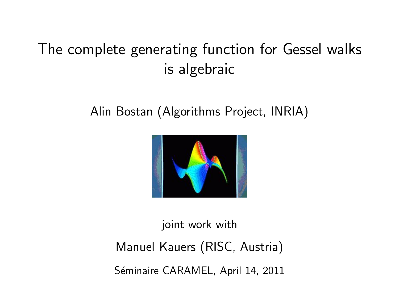# The complete generating function for Gessel walks is algebraic

# Alin Bostan (Algorithms Project, INRIA)



joint work with Manuel Kauers (RISC, Austria) Séminaire CARAMEL, April 14, 2011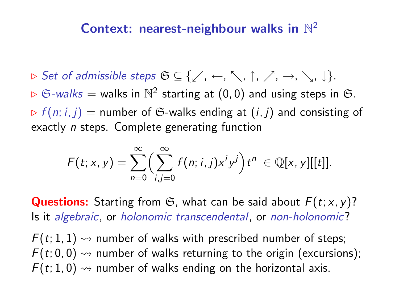# Context: nearest-neighbour walks in  $\mathbb{N}^2$

 $\triangleright$  Set of admissible steps  $\mathfrak{S} \subseteq \{ \swarrow, \leftarrow, \searrow, \uparrow, \nearrow, \rightarrow, \searrow, \downarrow \}.$  $\triangleright$   $\mathfrak{S}\text{-}walks =$  walks in  $\mathbb{N}^2$  starting at  $(0,0)$  and using steps in  $\mathfrak{S}.$  $\triangleright$  f(n; i, j) = number of G-walks ending at (i, j) and consisting of exactly *n* steps. Complete generating function

$$
F(t;x,y)=\sum_{n=0}^{\infty}\Bigl(\sum_{i,j=0}^{\infty}f(n;i,j)x^iy^j\Bigr)t^n\in\mathbb{Q}[x,y][[t]].
$$

**Questions:** Starting from  $\mathfrak{S}$ , what can be said about  $F(t; x, y)$ ? Is it algebraic, or holonomic transcendental, or non-holonomic?

 $F(t; 1, 1) \rightarrow$  number of walks with prescribed number of steps;  $F(t; 0, 0) \rightarrow$  number of walks returning to the origin (excursions);  $F(t; 1, 0) \rightsquigarrow$  number of walks ending on the horizontal axis.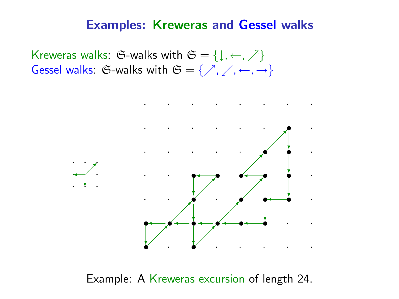#### Examples: Kreweras and Gessel walks

Kreweras walks: G-walks with  $\mathfrak{S} = \{ \downarrow, \leftarrow, \nearrow \}$ Gessel walks: G-walks with  $\mathfrak{S} = \{ \nearrow, \swarrow, \leftarrow, \rightarrow \}$ 



Example: A Kreweras excursion of length 24.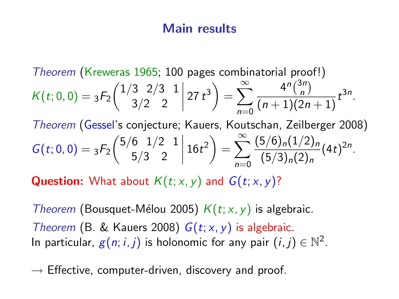#### Main results

Theorem (Kreweras 1965; 100 pages combinatorial proof!)  $K(t; 0, 0) = {}_3F_2 \left(\begin{matrix} 1/3 & 2/3 & 1 \\ 3/2 & 2 \end{matrix}\right)$ 3/2 2  $\left(27 t^3\right) = \sum_{n=1}^{\infty} \frac{4^n \binom{3n}{n}}{(n+1)(2)}$  $n=0$  $\binom{3n}{n}$  $\frac{1}{(n+1)(2n+1)}t^{3n}$ .

Theorem (Gessel's conjecture; Kauers, Koutschan, Zeilberger 2008)  $G(t; 0, 0) = {}_3F_2\left({\frac{5}{6}}{\frac{1}{2}}{\frac{1}{2}}\right)^2$ 5/3 2  $\begin{array}{c} \begin{array}{c} \begin{array}{c} \begin{array}{c} \end{array} \\ \end{array} \end{array} \end{array}$  $16t^2 = \sum_{r=0}^{\infty} \frac{(5/6)_n(1/2)_n}{(5/3)_n(2)}$  $n=0$  $\frac{3}{9}\frac{(5/3)_n(1/2)_n}{(5/3)_n(2)_n}(4t)^{2n}$ .

**Question:** What about  $K(t; x, y)$  and  $G(t; x, y)$ ?

*Theorem* (Bousquet-Mélou 2005)  $K(t; x, y)$  is algebraic. Theorem (B. & Kauers 2008)  $G(t; x, y)$  is algebraic. In particular,  $g(n; i, j)$  is holonomic for any pair  $(i, j) \in \mathbb{N}^2$ .

 $\rightarrow$  Effective, computer-driven, discovery and proof.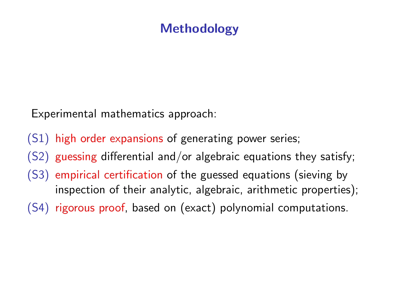# Methodology

Experimental mathematics approach:

- (S1) high order expansions of generating power series;
- (S2) guessing differential and/or algebraic equations they satisfy;
- (S3) empirical certification of the guessed equations (sieving by inspection of their analytic, algebraic, arithmetic properties);
- (S4) rigorous proof, based on (exact) polynomial computations.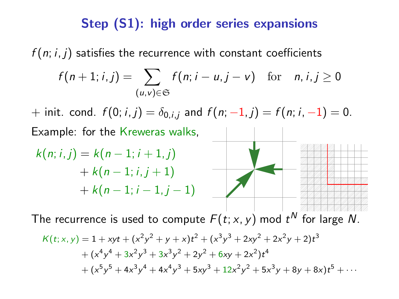# Step (S1): high order series expansions

 $f(n; i, j)$  satisfies the recurrence with constant coefficients

$$
f(n+1; i, j) = \sum_{(u,v)\in\mathfrak{S}} f(n; i-u, j-v) \quad \text{for} \quad n, i, j \ge 0
$$

+ init. cond.  $f(0; i, j) = \delta_{0,i,j}$  and  $f(n; -1, j) = f(n; i, -1) = 0$ . Example: for the Kreweras walks,

$$
k(n; i, j) = k(n - 1; i + 1, j) + k(n - 1; i, j + 1) + k(n - 1; i - 1, j - 1)
$$

The recurrence is used to compute  $F(t; x, y)$  mod  $t^N$  for large N.

$$
K(t; x, y) = 1 + xyt + (x2y2 + y + x)t2 + (x3y3 + 2xy2 + 2x2y + 2)t3 + (x4y4 + 3x2y3 + 3x3y2 + 2y2 + 6xy + 2x2)t4 + (x5y5 + 4x3y4 + 4x4y3 + 5xy3 + 12x2y2 + 5x3y + 8y + 8x)t5 + ...
$$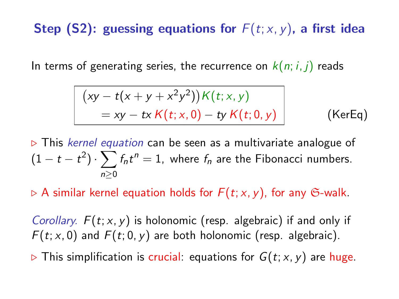# Step (S2): guessing equations for  $F(t; x, y)$ , a first idea

In terms of generating series, the recurrence on  $k(n; i, j)$  reads

<span id="page-6-0"></span>
$$
(xy - t(x + y + x2y2))K(t; x, y)
$$
  
= xy - tx K(t; x, 0) - ty K(t; 0, y) (KerEq)

 $\triangleright$  This kernel equation can be seen as a multivariate analogue of  $(1-t-t^2)\cdot \sum f_n t^n = 1$ , where  $f_n$  are the Fibonacci numbers. n≥0

 $\triangleright$  A similar kernel equation holds for  $F(t; x, y)$ , for any G-walk.

Corollary.  $F(t; x, y)$  is holonomic (resp. algebraic) if and only if  $F(t; x, 0)$  and  $F(t; 0, y)$  are both holonomic (resp. algebraic).

 $\triangleright$  This simplification is crucial: equations for  $G(t; x, y)$  are huge.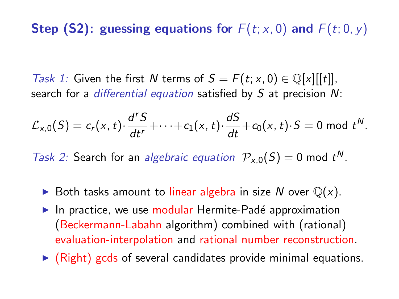# Step (S2): guessing equations for  $F(t; x, 0)$  and  $F(t; 0, y)$

Task 1: Given the first N terms of  $S = F(t; x, 0) \in \mathbb{Q}[x][[t]]$ , search for a *differential equation* satisfied by  $S$  at precision  $N$ :

$$
\mathcal{L}_{x,0}(S)=c_r(x,t)\cdot\frac{d^rS}{dt^r}+\cdots+c_1(x,t)\cdot\frac{dS}{dt}+c_0(x,t)\cdot S=0 \bmod t^N.
$$

Task 2: Search for an algebraic equation  $\mathcal{P}_{x,0}(S) = 0$  mod  $t^N$ .

- $\triangleright$  Both tasks amount to linear algebra in size N over  $\mathbb{Q}(x)$ .
- In practice, we use modular Hermite-Padé approximation (Beckermann-Labahn algorithm) combined with (rational) evaluation-interpolation and rational number reconstruction.
- $\triangleright$  (Right) gcds of several candidates provide minimal equations.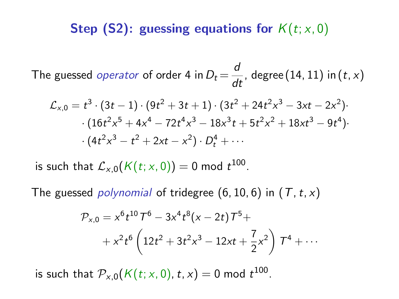# Step (S2): guessing equations for  $K(t; x, 0)$

The guessed *operator* of order 4 in  $D_t = \frac{d}{dt}$ , degree (14, 11) in (*t*, *x*)

$$
\mathcal{L}_{x,0} = t^3 \cdot (3t - 1) \cdot (9t^2 + 3t + 1) \cdot (3t^2 + 24t^2x^3 - 3xt - 2x^2) \cdot (16t^2x^5 + 4x^4 - 72t^4x^3 - 18x^3t + 5t^2x^2 + 18xt^3 - 9t^4) \cdot (4t^2x^3 - t^2 + 2xt - x^2) \cdot D_t^4 + \cdots
$$

is such that  $\mathcal{L}_{\mathsf{x},\mathsf{0}}(\mathsf{K}(t;\mathsf{x},0))=0$  mod  $t^{100}.$ 

The guessed *polynomial* of tridegree  $(6, 10, 6)$  in  $(T, t, x)$ 

$$
\mathcal{P}_{x,0} = x^6 t^{10} \mathcal{T}^6 - 3x^4 t^8 (x - 2t) \mathcal{T}^5 +
$$
  
+  $x^2 t^6 \left( 12t^2 + 3t^2 x^3 - 12xt + \frac{7}{2}x^2 \right) \mathcal{T}^4 + \cdots$ 

is such that  $\mathcal{P}_{\mathsf{x},\mathsf{0}}(\mathcal{K}(t;\mathsf{x},0),t,\mathsf{x}) = 0$  mod  $t^{100}.$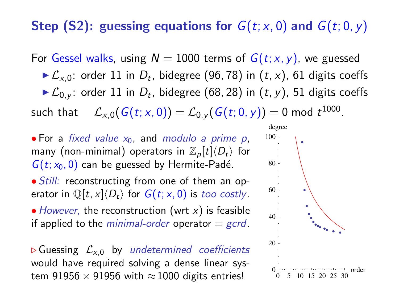### Step (S2): guessing equations for  $G(t; x, 0)$  and  $G(t; 0, y)$

For Gessel walks, using  $N = 1000$  terms of  $G(t; x, y)$ , we guessed

- $\blacktriangleright \mathcal{L}_{x,0}$ : order 11 in  $D_t$ , bidegree (96,78) in  $(t,x)$ , 61 digits coeffs
- $\blacktriangleright \mathcal{L}_{0,y}$ : order 11 in  $D_t$ , bidegree (68, 28) in  $(t,y)$ , 51 digits coeffs

such that  $\quad \mathcal{L}_{\varkappa,0}(G(t;x,0))=\mathcal{L}_{0,\varkappa}(G(t;0,y))=0$  mod  $t^{1000}.$ 

- For a fixed value  $x_0$ , and modulo a prime p, many (non-minimal) operators in  $\mathbb{Z}_p[t]\langle D_t\rangle$  for  $G(t; x_0, 0)$  can be guessed by Hermite-Padé.
- Still: reconstructing from one of them an operator in  $\mathbb{Q}[t, x]\langle D_t\rangle$  for  $G(t; x, 0)$  is too costly.

• However, the reconstruction (wrt  $x$ ) is feasible if applied to the *minimal-order* operator  $=$  *gcrd*.

 $\triangleright$  Guessing  $\mathcal{L}_{x,0}$  by undetermined coefficients would have required solving a dense linear system 91956  $\times$  91956 with  $\approx$  1000 digits entries!

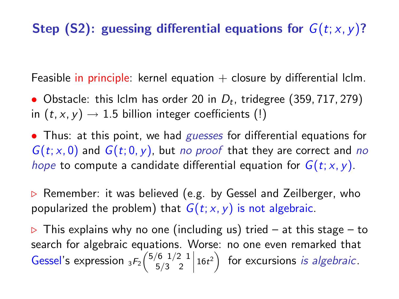# Step (S2): guessing differential equations for  $G(t; x, y)$ ?

Feasible in principle: kernel equation  $+$  closure by differential lclm.

• Obstacle: this Iclm has order 20 in  $D_t$ , tridegree (359, 717, 279) in  $(t, x, y) \rightarrow 1.5$  billion integer coefficients (!)

• Thus: at this point, we had *guesses* for differential equations for  $G(t; x, 0)$  and  $G(t; 0, y)$ , but no proof that they are correct and no hope to compute a candidate differential equation for  $G(t; x, y)$ .

 $\triangleright$  Remember: it was believed (e.g. by Gessel and Zeilberger, who popularized the problem) that  $G(t; x, y)$  is not algebraic.

 $\triangleright$  This explains why no one (including us) tried – at this stage – to search for algebraic equations. Worse: no one even remarked that Gessel's expression  ${}_{3}F_{2} \left( \frac{5}{6} \frac{1}{2} \frac{1}{2} \right)$ 5/3 2 ˛ ˛ ˛ ˛  $(16t^2)$  for excursions is algebraic.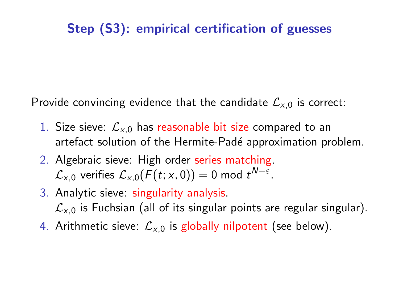# Step (S3): empirical certification of guesses

Provide convincing evidence that the candidate  $\mathcal{L}_{x,0}$  is correct:

- 1. Size sieve:  $\mathcal{L}_{\times 0}$  has reasonable bit size compared to an artefact solution of the Hermite-Padé approximation problem.
- 2. Algebraic sieve: High order series matching.  $\mathcal{L}_{\mathsf{x},\mathsf{0}}$  verifies  $\mathcal{L}_{\mathsf{x},\mathsf{0}}(\mathsf{F}(t;\mathsf{x},\mathsf{0})) = 0$  mod  $t^{\mathsf{N}+\varepsilon}.$
- 3. Analytic sieve: singularity analysis.  $\mathcal{L}_{x,0}$  is Fuchsian (all of its singular points are regular singular).
- 4. Arithmetic sieve:  $\mathcal{L}_{\times,0}$  is globally nilpotent (see below).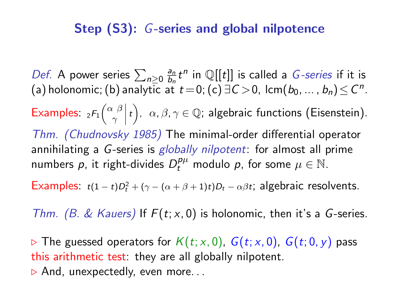### Step (S3): G-series and global nilpotence

Def. A power series  $\sum_{n\geq 0} \frac{a_n}{b_n}$  $\frac{a_n}{b_n}t^n$  in Q[[t]] is called a *G*-series if it is (a) holonomic; (b) analytic at  $t\!=\!0$ ; (c)  $\exists\, \mathcal{C} \!>\!0$ , lcm $(b_0,\ldots,b_n)\! \leq\! \mathcal{C}^n.$ Examples:  ${}_{2}F_{1} \left( \begin{array}{cc} \alpha & \beta \\ \gamma & \end{array} \right)$ γ  $\begin{array}{c}\n\phantom{\overline{a}}\n\end{array}$  $\{\epsilon\},\ \ \alpha,\beta,\gamma\in\mathbb{Q};$  algebraic functions (Eisenstein). Thm. (Chudnovsky 1985) The minimal-order differential operator annihilating a G-series is globally nilpotent: for almost all prime numbers  $p$ , it right-divides  $D_t^{p\mu}$  modulo  $p$ , for some  $\mu \in \mathbb{N}$ .

Examples:  $t(1-t)D_t^2 + (\gamma - (\alpha + \beta + 1)t)D_t - \alpha\beta t$ ; algebraic resolvents.

Thm. (B. & Kauers) If  $F(t; x, 0)$  is holonomic, then it's a G-series.

 $\triangleright$  The guessed operators for  $K(t; x, 0)$ ,  $G(t; x, 0)$ ,  $G(t; 0, y)$  pass this arithmetic test: they are all globally nilpotent.  $\triangleright$  And, unexpectedly, even more...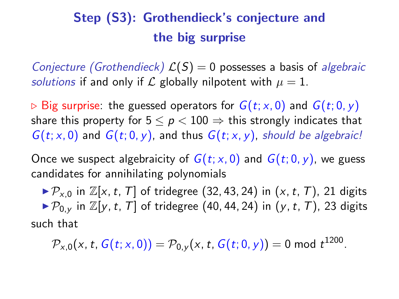# Step (S3): Grothendieck's conjecture and the big surprise

Conjecture (Grothendieck)  $\mathcal{L}(S) = 0$  possesses a basis of algebraic solutions if and only if L globally nilpotent with  $\mu = 1$ .

 $\triangleright$  Big surprise: the guessed operators for  $G(t; x, 0)$  and  $G(t; 0, y)$ share this property for  $5 \le p < 100 \Rightarrow$  this strongly indicates that  $G(t; x, 0)$  and  $G(t; 0, y)$ , and thus  $G(t; x, y)$ , should be algebraic!

Once we suspect algebraicity of  $G(t; x, 0)$  and  $G(t; 0, y)$ , we guess candidates for annihilating polynomials

 $\triangleright \mathcal{P}_{x,0}$  in  $\mathbb{Z}[x,t,T]$  of tridegree (32, 43, 24) in  $(x,t,T)$ , 21 digits  $\triangleright \mathcal{P}_{0v}$  in  $\mathbb{Z}[v, t, T]$  of tridegree (40, 44, 24) in (y, t, T), 23 digits such that

 $\mathcal{P}_{\mathsf{x},\mathsf{0}}(\mathsf{x},\mathsf{t},\mathsf{G}(t;\mathsf{x},0)) = \mathcal{P}_{\mathsf{0},\mathsf{y}}(\mathsf{x},\mathsf{t},\mathsf{G}(t;0,\mathsf{y})) = 0$  mod  $t^{1200}.$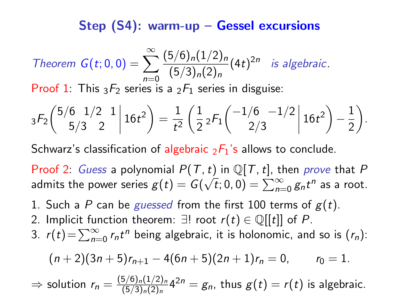# Step (S4): warm-up – Gessel excursions

Theorem 
$$
G(t; 0, 0) = \sum_{n=0}^{\infty} \frac{(5/6)_n (1/2)_n}{(5/3)_n (2)_n} (4t)^{2n}
$$
 is algebraic.  
Proof 1: This  ${}_{3}F_2$  series is a  ${}_{2}F_1$  series in disguise:

$$
{}_3F_2\left(\begin{matrix} 5/6 & 1/2 & 1 \\ 5/3 & 2 & 1 \end{matrix}\Big| 16t^2\right) = \frac{1}{t^2} \left(\frac{1}{2} {}_2F_1\left(\begin{matrix} -1/6 & -1/2 \\ 2/3 & 16t^2 \end{matrix}\Big| 16t^2\right) - \frac{1}{2}\right).
$$

Schwarz's classification of algebraic  $2F_1$ 's allows to conclude.

Proof 2: Guess a polynomial  $P(T, t)$  in  $\mathbb{Q}[T, t]$ , then prove that P admits the power series  $g(t)=\overline{G(\sqrt{t};0,0)}=\sum_{n=0}^{\infty}g_nt^n$  as a root.

1. Such a P can be guessed from the first 100 terms of  $g(t)$ .

2. Implicit function theorem:  $\exists!$  root  $r(t) \in \mathbb{Q}[[t]]$  of P. 3.  $r(t) = \sum_{n=0}^{\infty} r_n t^n$  being algebraic, it is holonomic, and so is  $(r_n)$ :

$$
(n+2)(3n+5)r_{n+1}-4(6n+5)(2n+1)r_n=0, r_0=1.
$$

⇒ solution  $r_n = \frac{(5/6)_n(1/2)_n}{(5/3)_n(2)_n}$  $\frac{5/6\ln(1/2)_n}{(5/3)_n(2)_n}$ 4<sup>2n</sup> =  $g_n$ , thus  $g(t) = r(t)$  is algebraic.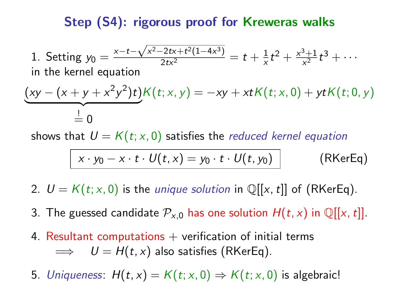# Step (S4): rigorous proof for Kreweras walks

1. Setting  $y_0 = \frac{x-t-\sqrt{x^2-2tx+t^2(1-4x^3)}}{2tx^2} = t + \frac{1}{x}$  $\frac{1}{x}t^2 + \frac{x^3+1}{x^2}$  $\frac{3+1}{x^2}t^3 + \cdots$ in the kernel equation

$$
(xy - (x + y + x^{2}y^{2})t)K(t; x, y) = -xy + xtK(t; x, 0) + ytK(t; 0, y)
$$
  

$$
\stackrel{!}{=} 0
$$

shows that  $U = K(t; x, 0)$  satisfies the *reduced kernel equation* 

<span id="page-15-0"></span>
$$
x \cdot y_0 - x \cdot t \cdot U(t, x) = y_0 \cdot t \cdot U(t, y_0)
$$
 (RKerEq)

- 2.  $U = K(t; x, 0)$  is the *unique solution* in  $\mathbb{Q}[[x, t]]$  of [\(RKerEq\)](#page-15-0).
- 3. The guessed candidate  $\mathcal{P}_{x,0}$  has one solution  $H(t, x)$  in Q[[x, t]].
- 4. Resultant computations  $+$  verification of initial terms  $\implies U = H(t, x)$  also satisfies [\(RKerEq\)](#page-15-0).

5. Uniqueness:  $H(t, x) = K(t; x, 0) \Rightarrow K(t; x, 0)$  is algebraic!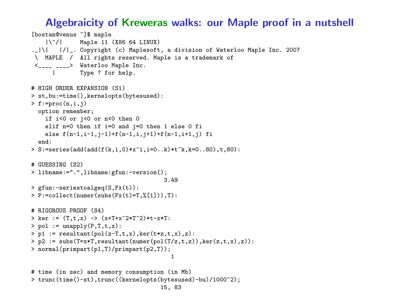#### Algebraicity of Kreweras walks: our Maple proof in a nutshell

```
[bostan@venus ~]$ maple
              Maple 11 (X86 64 LINUX)
. |\rangle| |/| . Copyright (c) Maplesoft, a division of Waterloo Maple Inc. 2007
\ MAPLE / All rights reserved. Maple is a trademark of
 <____ ____> Waterloo Maple Inc.
          Type ? for help.
# HIGH ORDER EXPANSION (S1)
> st,bu:=time(),kernelopts(bytesused):
> f:=proc(n,i,i)option remember;
   if i<0 or j<0 or n<0 then 0
    elif n=0 then if i=0 and j=0 then 1 else 0 fi
    else f(n-1,i-1,i-1)+f(n-1,i,i+1)+f(n-1,i+1,i) fi
  end:
> S:=series(add(add(f(k,i,0)*x^i,i=0..k)*t^k,k=0..80),t,80):
# GUESSING (S2)
> libname:=".",libname:gfun:-version();
                                       3.49
> gfun:-seriestoalgeq(S,Fx(t)):
> P:=collect(numer(subs(Fx(t)=T,%[1])),T):
# RIGOROUS PROOF (S4)
> ker := (T, t, x) -> (x+T+x^2*T^2)*t-x*T:
> pol := unapply(P.T.t.x):
> p1 := result(int(pol(z-T,t,x),ker(t*z,t,x),z)):
> p2 := \text{subs}(T=x*T, resultant(numer(pol(T/z,t,z)), ker(z,t,x),z)):
> normal(primpart(p1,T)/primpart(p2,T));
                                         1
# time (in sec) and memory consumption (in Mb)
> trunc(time()-st),trunc((kernelopts(bytesused)-bu)/1000^2);
                                     15, 83
```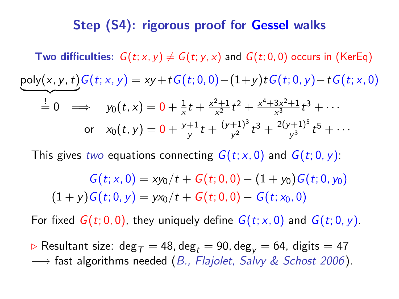### Step (S4): rigorous proof for Gessel walks

**Two difficulties:**  $G(t; x, y) \neq G(t; y, x)$  and  $G(t; 0, 0)$  occurs in [\(KerEq\)](#page-6-0)  $\overline{\phantom{a}}$  $\stackrel{!}{=} 0 \Rightarrow$  y<sub>0</sub> $(t, x) = 0 + \frac{1}{x}$  $rac{1}{x}t + \frac{x^2+1}{x^2}$  $\frac{x^2+1}{x^2}t^2+\frac{x^4+3x^2+1}{x^3}$  $\frac{3x^2+1}{x^3}t^3 + \cdots$ or  $x_0(t,y)=0+\frac{y+1}{y}$  $\frac{+1}{y}t+\frac{(y+1)^3}{y^2}$  $\frac{+1)^3}{y^2}t^3+\frac{2(y+1)^5}{y^3}$  $\frac{(r+1)^3}{y^3}t^5+\cdots$ poly(x, y, t) $G(t; x, y) = xy + tG(t; 0, 0) - (1+y)tG(t; 0, y) - tG(t; x, 0)$ 

This gives two equations connecting  $G(t; x, 0)$  and  $G(t; 0, y)$ :

 $G(t; x, 0) = xy_0/t + G(t; 0, 0) - (1 + y_0)G(t; 0, y_0)$  $(1 + v)G(t; 0, v) = yx_0/t + G(t; 0, 0) - G(t; x_0, 0)$ 

For fixed  $G(t; 0, 0)$ , they uniquely define  $G(t; x, 0)$  and  $G(t; 0, y)$ .

 $\triangleright$  Resultant size: deg<sub>T</sub> = 48, deg<sub>t</sub> = 90, deg<sub>v</sub> = 64, digits = 47  $\rightarrow$  fast algorithms needed (B., Flajolet, Salvy & Schost 2006).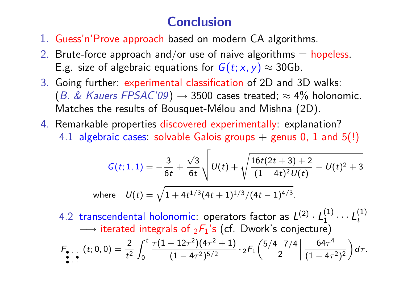# Conclusion

- 1. Guess'n'Prove approach based on modern CA algorithms.
- 2. Brute-force approach and/or use of naive algorithms  $=$  hopeless. E.g. size of algebraic equations for  $G(t; x, y) \approx 30$ Gb.
- 3. Going further: experimental classification of 2D and 3D walks: (B. & Kauers FPSAC'09)  $\rightarrow$  3500 cases treated;  $\approx$  4% holonomic. Matches the results of Bousquet-Mélou and Mishna (2D).
- 4. Remarkable properties discovered experimentally: explanation? 4.1 algebraic cases: solvable Galois groups  $+$  genus 0, 1 and 5(!)

$$
G(t; 1, 1) = -\frac{3}{6t} + \frac{\sqrt{3}}{6t} \sqrt{U(t) + \sqrt{\frac{16t(2t+3) + 2}{(1-4t)^2}U(t)} - U(t)^2 + 3}
$$
  
where  $U(t) = \sqrt{1 + 4t^{1/3}(4t + 1)^{1/3}/(4t - 1)^{4/3}}$ .

4.2 transcendental holonomic: operators factor as  $L^{(2)} \cdot L_1^{(1)} \cdots L_t^{(1)}$  $\rightarrow$  iterated integrals of  $_2F_1$ 's (cf. Dwork's conjecture)

$$
F_{\bullet\cdots}(t;0,0)=\frac{2}{t^2}\int_0^t\frac{\tau(1-12\tau^2)(4\tau^2+1)}{(1-4\tau^2)^{5/2}}\cdot{_2F_1}\left(\begin{array}{c|c} 5/4 & 7/4 & 64\tau^4\\ 2 & (1-4\tau^2)^2 \end{array}\right)d\tau.
$$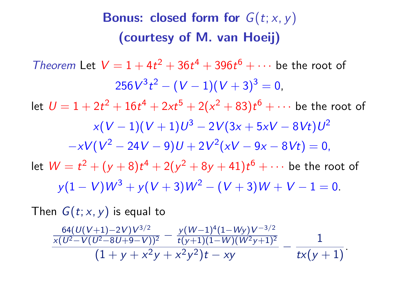# **Bonus: closed form for**  $G(t; x, y)$ (courtesy of M. van Hoeij)

Theorem Let  $V = 1 + 4t^2 + 36t^4 + 396t^6 + \cdots$  be the root of  $256V^3t^2 - (V-1)(V+3)^3 = 0,$ let  $U=1+2t^2+16t^4+2xt^5+2(x^2+83)t^6+\cdots$  be the root of  $x(V-1)(V+1)U^3 - 2V(3x + 5xV - 8Vt)U^2$  $-xV(V^2 - 24V - 9)U + 2V^2(xV - 9x - 8Vt) = 0,$ let  $W = t^2 + (y + 8)t^4 + 2(y^2 + 8y + 41)t^6 + \cdots$  be the root of  $v(1 - V)W^3 + v(V + 3)W^2 - (V + 3)W + V - 1 = 0.$ 

Then  $G(t; x, y)$  is equal to

$$
\frac{\frac{64(U(V+1)-2V)V^{3/2}}{x(U^2-V(U^2-8U+9-V))^2}-\frac{y(W-1)^4(1-Wy)V^{-3/2}}{t(y+1)(1-W)(W^2y+1)^2}}{(1+y+x^2y+x^2y^2)t-xy}-\frac{1}{tx(y+1)}.
$$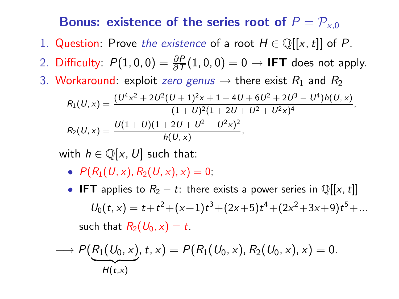### Bonus: existence of the series root of  $P = \mathcal{P}_{\times,0}$

- 1. Question: Prove the existence of a root  $H \in \mathbb{Q}[[x, t]]$  of P.
- 2. Difficulty:  $P(1,0,0) = \frac{\partial P}{\partial T}(1,0,0) = 0 \rightarrow \text{IFT does not apply.}$
- 3. Workaround: exploit zero genus  $\rightarrow$  there exist  $R_1$  and  $R_2$

$$
R_1(U,x) = \frac{(U^4x^2 + 2U^2(U+1)^2x + 1 + 4U + 6U^2 + 2U^3 - U^4)h(U,x)}{(1+U)^2(1+2U+U^2+U^2x)^4},
$$
  
\n
$$
R_2(U,x) = \frac{U(1+U)(1+2U+U^2+U^2x)^2}{h(U,x)},
$$

with  $h \in \mathbb{Q}[x, U]$  such that:

- $P(R_1(U, x), R_2(U, x), x) = 0$ ;
- IFT applies to  $R_2 t$ : there exists a power series in  $\mathbb{Q}[[x, t]]$  $U_0(t, x) = t + t^2 + (x+1)t^3 + (2x+5)t^4 + (2x^2+3x+9)t^5 + ...$ such that  $R_2(U_0, x) = t$ .

$$
\longrightarrow P(\underbrace{R_1(U_0, x)}_{H(t,x)}, t, x) = P(R_1(U_0, x), R_2(U_0, x), x) = 0.
$$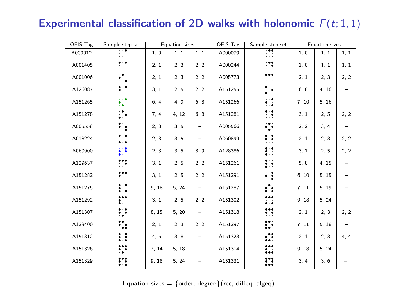# Experimental classification of 2D walks with holonomic  $F(t; 1, 1)$

| OEIS Tag | Sample step set       |       | Equation sizes |                          | OEIS Tag | Sample step set               |       | <b>Equation</b> sizes |      |
|----------|-----------------------|-------|----------------|--------------------------|----------|-------------------------------|-------|-----------------------|------|
| A000012  | .                     | 1, 0  | 1, 1           | 1, 1                     | A000079  | $\overline{\phantom{a}}$<br>. | 1, 0  | 1, 1                  | 1, 1 |
| A001405  | Н                     | 2, 1  | 2, 3           | 2, 2                     | A000244  | ∷.                            | 1, 0  | 1, 1                  | 1, 1 |
| A001006  | Ë.                    | 2, 1  | 2, 3           | 2, 2                     | A005773  | .                             | 2, 1  | 2, 3                  | 2, 2 |
| A126087  | 韧                     | 3, 1  | 2, 5           | 2, 2                     | A151255  | $\ddot{\phantom{a}}$          | 6, 8  | 4, 16                 |      |
| A151265  | Ø                     | 6, 4  | 4.9            | 6, 8                     | A151266  | ÷.                            | 7, 10 | 5.16                  |      |
| A151278  | $\ddot{\phantom{0}}$  | 7, 4  | 4, 12          | 6, 8                     | A151281  | ∷                             | 3, 1  | 2, 5                  | 2, 2 |
| A005558  | ∺                     | 2, 3  | 3, 5           | -                        | A005566  |                               | 2, 2  | 3, 4                  |      |
| A018224  | $\bullet$ . $\bullet$ | 2, 3  | 3, 5           | $\overline{\phantom{m}}$ | A060899  | ።                             | 2, 1  | 2, 3                  | 2, 2 |
| A060900  | 鑢                     | 2, 3  | 3, 5           | 8, 9                     | A128386  | i.                            | 3, 1  | 2, 5                  | 2, 2 |
| A129637  | ∷                     | 3, 1  | 2, 5           | 2, 2                     | A151261  | i.                            | 5.8   | 4, 15                 |      |
| A151282  | ₩                     | 3, 1  | 2, 5           | 2, 2                     | A151291  | €                             | 6, 10 | 5, 15                 |      |
| A151275  | ∷                     | 9, 18 | 5, 24          | $\equiv$                 | A151287  |                               | 7, 11 | 5, 19                 |      |
| A151292  | ∷                     | 3, 1  | 2, 5           | 2, 2                     | A151302  | <br>$\bullet$                 | 9, 18 | 5, 24                 |      |
| A151307  | ़                     | 8, 15 | 5, 20          | $\equiv$                 | A151318  | <br>₩                         | 2, 1  | 2, 3                  | 2, 2 |
| A129400  | ፨                     | 2, 1  | 2, 3           | 2, 2                     | A151297  | ፨                             | 7, 11 | 5, 18                 |      |
| A151312  | ∷                     | 4, 5  | 3,8            | $\qquad \qquad -$        | A151323  | ∷                             | 2, 1  | 2, 3                  | 4, 4 |
| A151326  | ₩                     | 7, 14 | 5, 18          | $\equiv$                 | A151314  | ∷                             | 9, 18 | 5, 24                 |      |
| A151329  | ∷                     | 9, 18 | 5, 24          | $\equiv$                 | A151331  | ∷                             | 3, 4  | 3, 6                  |      |

Equation sizes = {order, degree} (rec, diffeq, algeq).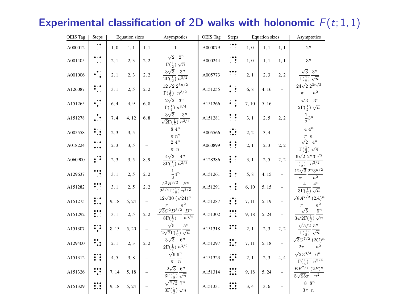# Experimental classification of 2D walks with holonomic  $F(t; 1, 1)$

| OEIS Tag | Steps     |      | <b>Equation</b> sizes |                          | Asymptotics                                                                                                                              | OEIS Tag | Steps         | <b>Equation</b> sizes |       |                          | Asymptotics                                                                         |
|----------|-----------|------|-----------------------|--------------------------|------------------------------------------------------------------------------------------------------------------------------------------|----------|---------------|-----------------------|-------|--------------------------|-------------------------------------------------------------------------------------|
| A000012  | 11        | 1.0  | 1.1                   | 1.1                      | $\mathbf{1}$                                                                                                                             | A000079  | :             | 1.0                   | 1.1   | 1.1                      | $2^n$                                                                               |
| A001405  | Ħ         | 2.1  | 2.3                   | 2.2                      | $\sqrt{2}$ $2^n$<br>$\Gamma(\frac{1}{2})\sqrt{n}$                                                                                        | A000244  | Ħ             | 1.0                   | 1.1   | 1.1                      | $3^n$                                                                               |
| A001006  | Đ.        | 2.1  | 2, 3                  | 2.2                      | $3\sqrt{3}$ $3^n$<br>$2\Gamma(\frac{1}{2})$ $\overline{n^{3/2}}$                                                                         | A005773  | <br>i vi      | 2,1                   | 2.3   | 2, 2                     | $\sqrt{3}$<br>$3^n$<br>$\Gamma(\frac{1}{2})\sqrt{n}$                                |
| A126087  | ₩         | 3.1  | 2.5                   | 2.2                      | $12\sqrt{2} 2^{3n/2}$<br>$\Gamma(\frac{1}{2})$ $\overline{n^{3/2}}$                                                                      | A151255  | Þ.            | 6, 8                  | 4.16  | $\overline{a}$           | $24\sqrt{2} 2^{3n/2}$<br>$\overline{n^2}$<br>$\pi$                                  |
| A151265  | Đ         | 6.4  | 4.9                   | 6, 8                     | $2\sqrt{2}$ 3 <sup>n</sup><br>$\Gamma(\frac{1}{4})$ $\overline{n^{3/4}}$                                                                 | A151266  | ŧΙ            | 7.10                  | 5.16  | ÷.                       | $\sqrt{3}$<br>$3^n$<br>$2\Gamma(\frac{1}{2})\sqrt{n}$                               |
| A151278  | M.        | 7.4  | 4.12                  | 6, 8                     | $3\sqrt{3}$<br>$3^n$<br>$\sqrt{2\Gamma(\frac{1}{4})}\; \overline{n^{3/4}}$                                                               | A151281  | ∷:            | 3.1                   | 2, 5  | 2.2                      | $\frac{1}{2}3^n$                                                                    |
| A005558  | ∺         | 2, 3 | 3, 5                  | -                        | $8\ 4^n$<br>$\pi$ $\overline{n^2}$                                                                                                       | A005566  | ₩             | 2, 2                  | 3, 4  | $-$                      | $4\ 4^n$<br>$\pi$ $\,n$                                                             |
| A018224  | $\ddotsc$ | 2.3  | 3.5                   | $\overline{\phantom{0}}$ | $2\ 4^n$<br>$\frac{1}{\pi}$ $\frac{1}{n}$                                                                                                | A060899  | ∷             | 2.1                   | 2.3   | 2.2                      | $\sqrt{2}$ 4 <sup>n</sup><br>$\Gamma(\frac{1}{2})\sqrt{n}$                          |
| A060900  | ₽         | 2.3  | 3.5                   | 8.9                      | $4\sqrt{3}$ $4^n$<br>$3\Gamma(\frac{1}{3})$ $n^{2/3}$                                                                                    | A128386  | Н             | 3.1                   | 2.5   | 2.2                      | $6\sqrt{2}$ $2^n 3^{n/2}$<br>$\Gamma(\frac{1}{2})$ $n^{3/2}$                        |
| A129637  | ₩         | 3.1  | 2, 5                  | 2, 2                     | $\frac{1}{2}4^n$                                                                                                                         | A151261  | ∷             | 5.8                   | 4.15  | $-$                      | $12\sqrt{3} 2^n 3^{n/2}$<br>n <sup>2</sup><br>$\pi$                                 |
| A151282  | ∷         | 3.1  | 2.5                   | 2, 2                     | $A^2B^{3/2}$ B <sup>n</sup><br>$\sqrt{2^{3/4}\Gamma(\frac{1}{2})} \, \sqrt{n^{3/2}}$                                                     | A151291  | ∷             | 6.10                  | 5.15  | ÷.                       | $4^n$<br>$\overline{4}$<br>$3\Gamma(\frac{1}{2})\sqrt{n}$                           |
| A151275  | ∷         | 9.18 | 5.24                  | ÷                        | $12\sqrt{30} (\sqrt{24})^n$<br>$\overline{n^2}$<br>$\pi$                                                                                 | A151287  | ∷             | 7.11                  | 5.19  | ÷.                       | $\sqrt{8}A^{7/2}$ (2A) <sup>n</sup><br>n <sup>2</sup><br>$\pi$                      |
| A151292  | ∷         | 3, 1 | 2, 5                  | 2, 2                     | $\sqrt[4]{3}C^2D^{3/2}$ $D^n$<br>$\overline{n^{3/2}}$<br>$8\Gamma(\frac{1}{2})$                                                          | A151302  | <br>$\ddotsc$ | 9,18                  | 5, 24 | ÷.                       | $\sqrt{5}$<br>$5^n$<br>$\sqrt{2}\Gamma(\frac{1}{2})\sqrt{n}$                        |
| A151307  | ₩         | 8.15 | 5.20                  | $\overline{\phantom{0}}$ | $\sqrt{5}$<br>$5^n$<br>$2\sqrt{2}\Gamma(\frac{1}{2})\sqrt{n}$                                                                            | A151318  | ∷             | 2.1                   | 2.3   | 2.2                      | $\sqrt{5/2}$ 5 <sup>n</sup><br>$\Gamma(\frac{1}{2}) \sqrt{n}$                       |
| A129400  | ∷         | 2.1  | 2.3                   | 2.2                      | $3\sqrt{3}$ 6 <sup>n</sup><br>$2\Gamma(\frac{1}{2})$ $\overline{n^{3/2}}$                                                                | A151297  | ∷             | 7.11                  | 5.18  | ÷                        | $\sqrt{3}C^{7/2}$ (2C) <sup>n</sup><br>n <sup>2</sup><br>$2\pi$                     |
| A151312  | ∷         | 4.5  | 3.8                   | $\overline{\phantom{0}}$ | $\sqrt{6}$ 6 <sup>n</sup><br>$\pi$ $\hspace{0.1cm}$ $\hspace{0.1cm}$ $\hspace{0.1cm}$ $\hspace{0.1cm}$ $\hspace{0.1cm}$ $\hspace{0.1cm}$ | A151323  | ∷             | 2,1                   | 2.3   | 4.4                      | $\sqrt{2}3^{3/4}$ 6 <sup>n</sup><br>$\Gamma(\frac{1}{4})$ $\frac{n^{3/4}}{n^{3/4}}$ |
| A151326  | ₩         | 7.14 | 5.18                  | ÷                        | $2\sqrt{3}$ 6 <sup>n</sup><br>$3\Gamma(\frac{1}{2})\sqrt{n}$                                                                             | A151314  | ∷             | 9.18                  | 5.24  | $\overline{\phantom{0}}$ | $EF^{7/2} (2F)^n$<br>$5\sqrt{95\pi}$ $n^2$                                          |
| A151329  | ∷         | 9.18 | 5.24                  | $\overline{\phantom{0}}$ | $\sqrt{7/3}$ 7 <sup>n</sup><br>$\overline{3\Gamma(\frac{1}{2})}\sqrt{n}$                                                                 | A151331  | ∷             | 3,4                   | 3, 6  | $-$                      | $8\;\;8^n$<br>$3\pi$ n                                                              |